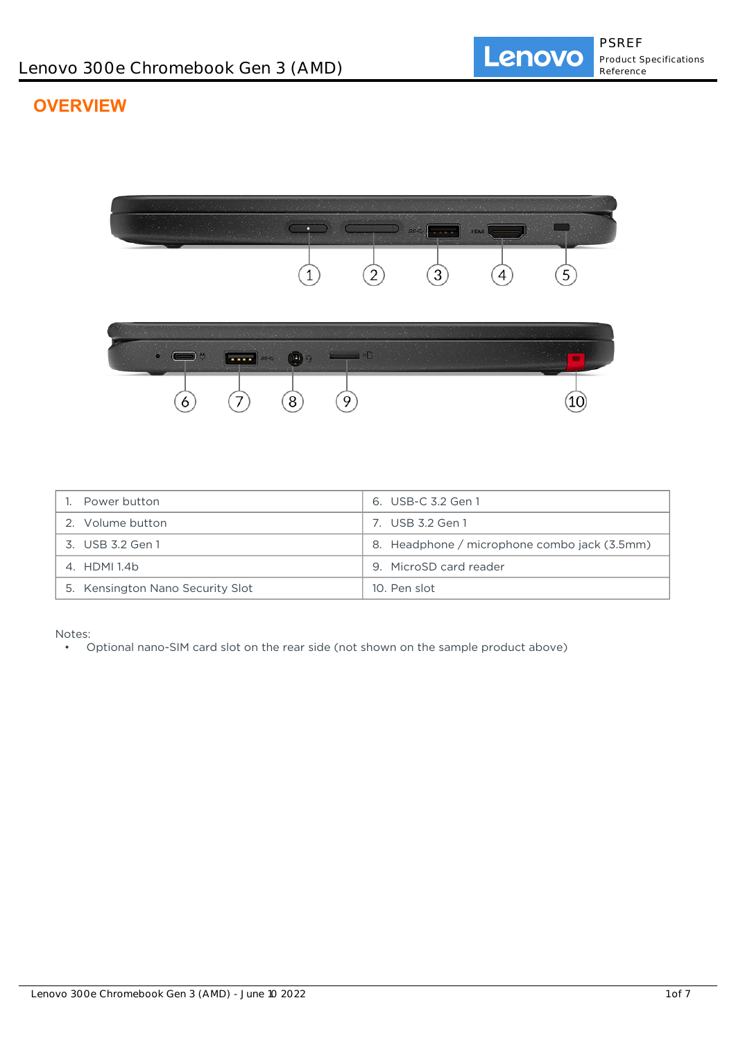# **OVERVIEW**



| Power button                     | 6. USB-C 3.2 Gen 1                           |
|----------------------------------|----------------------------------------------|
| 2. Volume button                 | 7. USB 3.2 Gen 1                             |
| 3. USB 3.2 Gen 1                 | 8. Headphone / microphone combo jack (3.5mm) |
| 4. HDMI 1.4b                     | 9. MicroSD card reader                       |
| 5. Kensington Nano Security Slot | 10. Pen slot                                 |

Notes:

• Optional nano-SIM card slot on the rear side (not shown on the sample product above)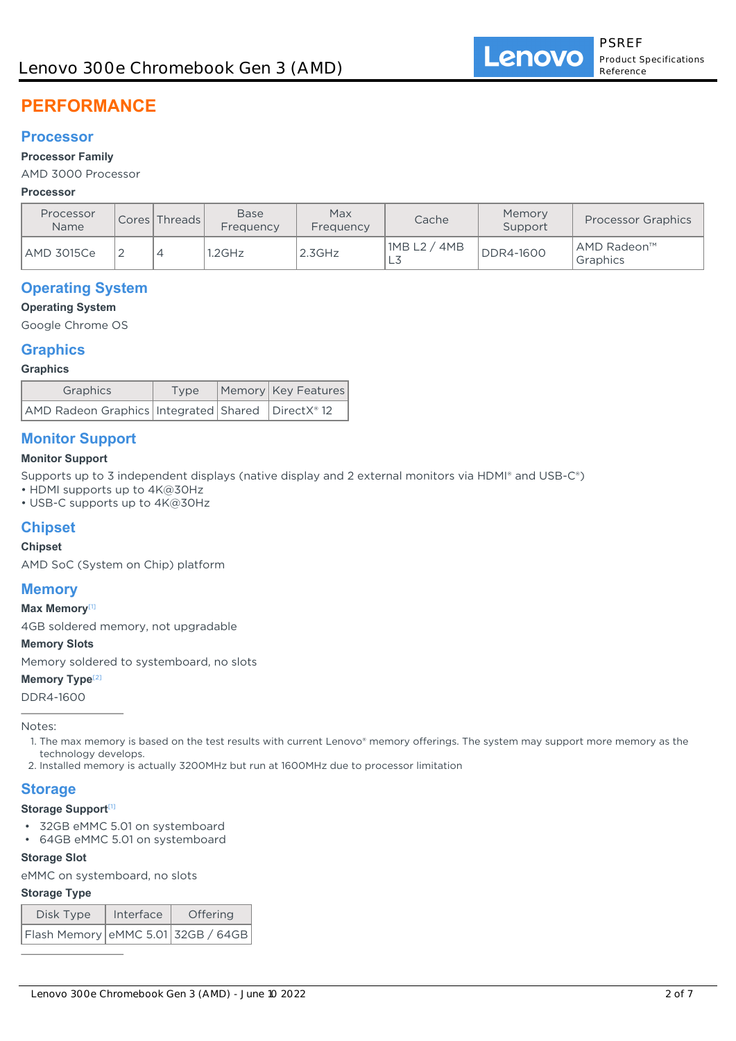# **PERFORMANCE**

### **Processor**

#### **Processor Family**

AMD 3000 Processor

#### **Processor**

| Processor<br><b>Name</b> | Cores Threads | <b>Base</b><br>Frequency | Max<br>Cache<br>Frequency |                   | Memory<br>Support | <b>Processor Graphics</b> |
|--------------------------|---------------|--------------------------|---------------------------|-------------------|-------------------|---------------------------|
| AMD 3015Ce               |               | .2GHz                    | $2.3$ GHz                 | 1MB L2 / 4MB<br>⊢ | <b>DDR4-1600</b>  | AMD Radeon™<br>Graphics   |

# **Operating System**

#### **Operating System**

Google Chrome OS

### **Graphics**

#### **Graphics**

| Graphics                                                | Type | Memory Key Features |  |
|---------------------------------------------------------|------|---------------------|--|
| AMD Radeon Graphics   Integrated   Shared   DirectX® 12 |      |                     |  |

# **Monitor Support**

#### **Monitor Support**

Supports up to 3 independent displays (native display and 2 external monitors via HDMI® and USB-C®)

• HDMI supports up to 4K@30Hz

• USB-C supports up to 4K@30Hz

# **Chipset**

#### **Chipset**

AMD SoC (System on Chip) platform

# **Memory**

#### **Max Memory**[1]

4GB soldered memory, not upgradable

#### **Memory Slots**

Memory soldered to systemboard, no slots

#### **Memory Type<sup>[2]</sup>**

DDR4-1600

Notes:

- 1. The max memory is based on the test results with current Lenovo® memory offerings. The system may support more memory as the technology develops.
- 2. Installed memory is actually 3200MHz but run at 1600MHz due to processor limitation

# **Storage**

#### **Storage Support**[1]

- 32GB eMMC 5.01 on systemboard
- 64GB eMMC 5.01 on systemboard

#### **Storage Slot**

eMMC on systemboard, no slots

#### **Storage Type**

| Disk Type                                                          | Interface | Offering |  |  |  |
|--------------------------------------------------------------------|-----------|----------|--|--|--|
| $\vert$ Flash Memory $\vert$ eMMC 5.01 $\vert$ 32GB / 64GB $\vert$ |           |          |  |  |  |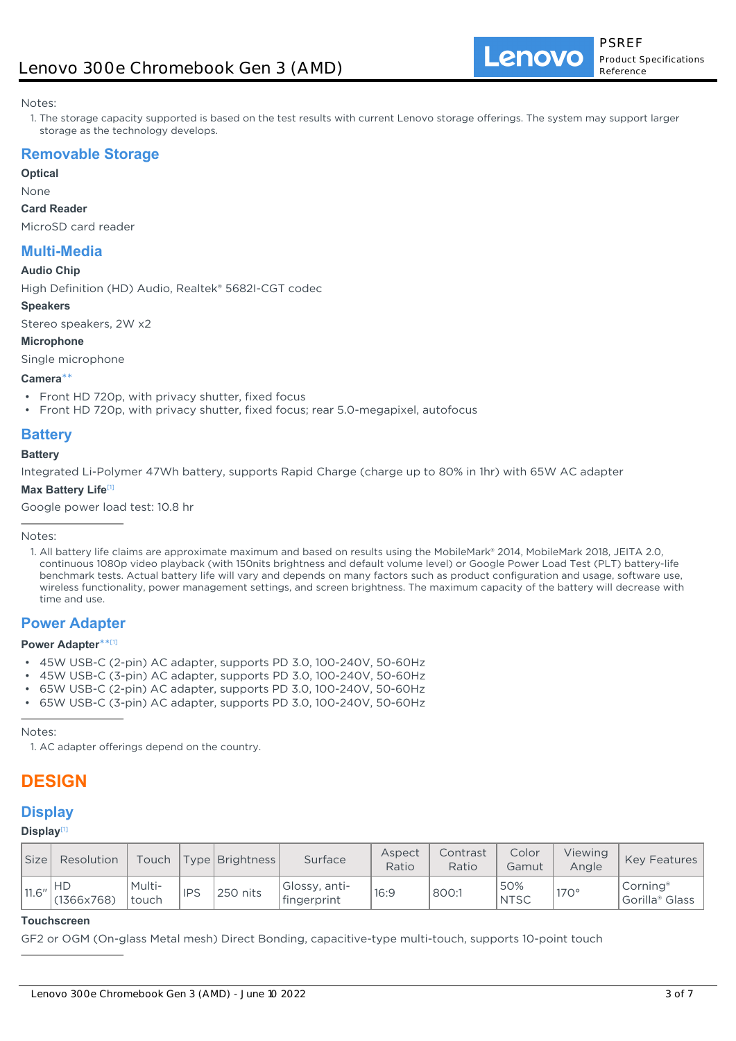#### Notes:

1. The storage capacity supported is based on the test results with current Lenovo storage offerings. The system may support larger storage as the technology develops.

# **Removable Storage**

**Optical**

#### None

#### **Card Reader**

MicroSD card reader

# **Multi-Media**

#### **Audio Chip**

High Definition (HD) Audio, Realtek® 5682I-CGT codec

#### **Speakers**

Stereo speakers, 2W x2

**Microphone** Single microphone

#### **Camera**\*\*

- Front HD 720p, with privacy shutter, fixed focus
- Front HD 720p, with privacy shutter, fixed focus; rear 5.0-megapixel, autofocus

# **Battery**

#### **Battery**

Integrated Li-Polymer 47Wh battery, supports Rapid Charge (charge up to 80% in 1hr) with 65W AC adapter

#### **Max Battery Life**[1]

Google power load test: 10.8 hr

Notes:

1. All battery life claims are approximate maximum and based on results using the MobileMark® 2014, MobileMark 2018, JEITA 2.0, continuous 1080p video playback (with 150nits brightness and default volume level) or Google Power Load Test (PLT) battery-life benchmark tests. Actual battery life will vary and depends on many factors such as product configuration and usage, software use, wireless functionality, power management settings, and screen brightness. The maximum capacity of the battery will decrease with time and use.

# **Power Adapter**

#### **Power Adapter**\*\* [1]

- 45W USB-C (2-pin) AC adapter, supports PD 3.0, 100-240V, 50-60Hz
- 45W USB-C (3-pin) AC adapter, supports PD 3.0, 100-240V, 50-60Hz
- 65W USB-C (2-pin) AC adapter, supports PD 3.0, 100-240V, 50-60Hz
- 65W USB-C (3-pin) AC adapter, supports PD 3.0, 100-240V, 50-60Hz

Notes:

1. AC adapter offerings depend on the country.

# **DESIGN**

# **Display**

#### **Display**[1]

| <b>Size</b> | Resolution              | Touch           |            | Type   Brightness | Surface                       | Aspect<br>Ratio | Contrast<br>Ratio | Color<br>Gamut     | Viewing<br>Anale | Key Features                                       |
|-------------|-------------------------|-----------------|------------|-------------------|-------------------------------|-----------------|-------------------|--------------------|------------------|----------------------------------------------------|
| 11.6''      | <b>HD</b><br>(1366x768) | Multi-<br>touch | <b>IPS</b> | 250 nits          | Glossy, anti-<br>'fingerprint | 16:9            | 800:1             | 50%<br><b>NTSC</b> | $170^\circ$      | Corning <sup>®</sup><br>Gorilla <sup>®</sup> Glass |

#### **Touchscreen**

GF2 or OGM (On-glass Metal mesh) Direct Bonding, capacitive-type multi-touch, supports 10-point touch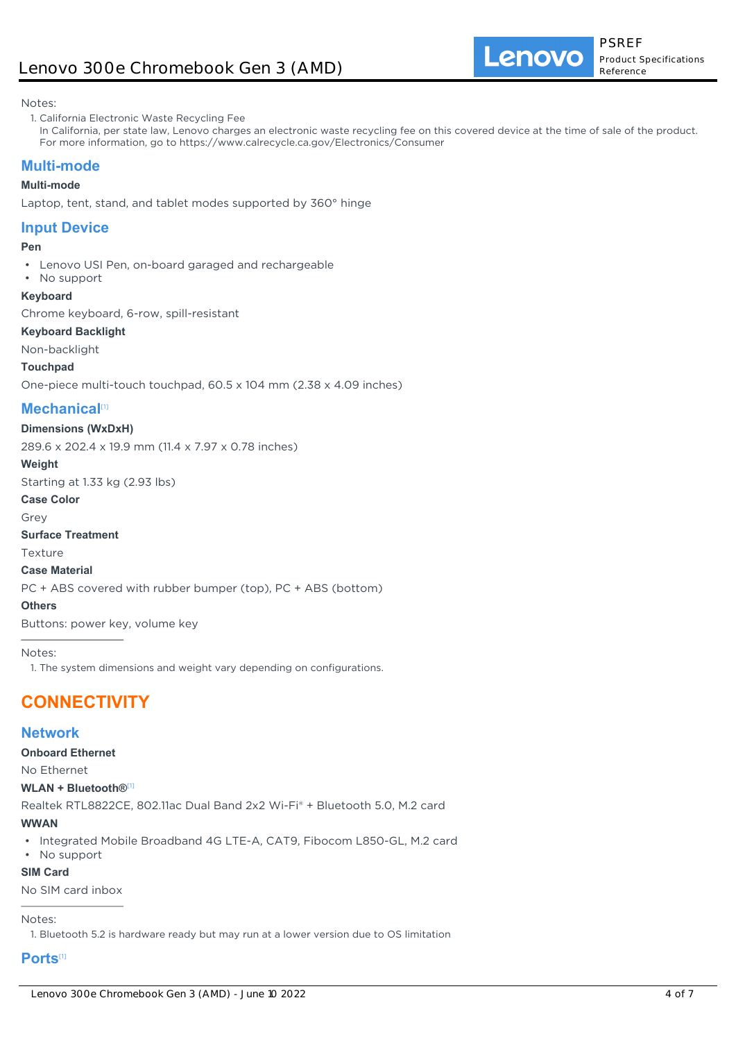Notes:

- 1. California Electronic Waste Recycling Fee
- In California, per state law, Lenovo charges an electronic waste recycling fee on this covered device at the time of sale of the product. For more information, go to https://www.calrecycle.ca.gov/Electronics/Consumer

# **Multi-mode**

#### **Multi-mode**

Laptop, tent, stand, and tablet modes supported by 360° hinge

# **Input Device**

#### **Pen**

- Lenovo USI Pen, on-board garaged and rechargeable
- No support

#### **Keyboard**

Chrome keyboard, 6-row, spill-resistant

#### **Keyboard Backlight**

Non-backlight

#### **Touchpad**

One-piece multi-touch touchpad, 60.5 x 104 mm (2.38 x 4.09 inches)

# **Mechanical**<sup>[1]</sup>

#### **Dimensions (WxDxH)**

289.6 x 202.4 x 19.9 mm (11.4 x 7.97 x 0.78 inches)

#### **Weight**

Starting at 1.33 kg (2.93 lbs)

#### **Case Color**

Grey

**Surface Treatment**

Texture

#### **Case Material**

PC + ABS covered with rubber bumper (top), PC + ABS (bottom)

### **Others**

Buttons: power key, volume key

Notes:

1. The system dimensions and weight vary depending on configurations.

# **CONNECTIVITY**

# **Network**

#### **Onboard Ethernet**

No Ethernet

#### **WLAN + Bluetooth®**[1]

Realtek RTL8822CE, 802.11ac Dual Band 2x2 Wi-Fi® + Bluetooth 5.0, M.2 card

#### **WWAN**

- Integrated Mobile Broadband 4G LTE-A, CAT9, Fibocom L850-GL, M.2 card
- No support

#### **SIM Card**

No SIM card inbox

#### Notes:

1. Bluetooth 5.2 is hardware ready but may run at a lower version due to OS limitation

# **Ports**[1]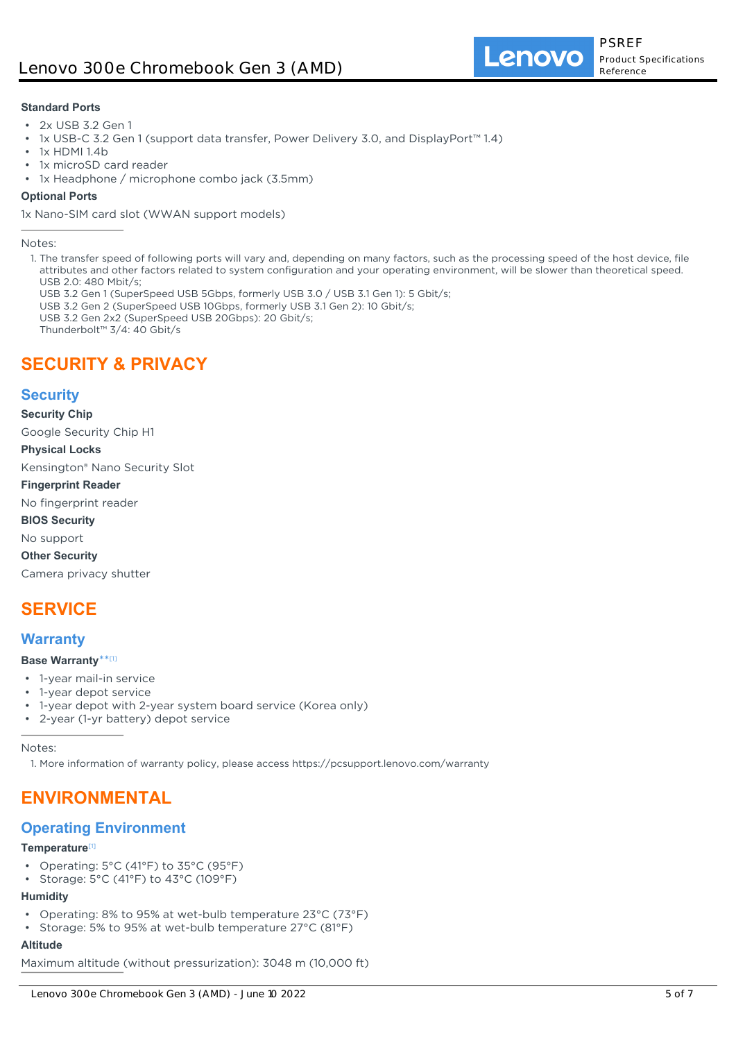#### **Standard Ports**

- 2x USB 3.2 Gen 1
- 1x USB-C 3.2 Gen 1 (support data transfer, Power Delivery 3.0, and DisplayPort™ 1.4)
- 1x HDMI 1.4b
- 1x microSD card reader
- 1x Headphone / microphone combo jack (3.5mm)

#### **Optional Ports**

1x Nano-SIM card slot (WWAN support models)

Notes:

- 1. The transfer speed of following ports will vary and, depending on many factors, such as the processing speed of the host device, file attributes and other factors related to system configuration and your operating environment, will be slower than theoretical speed.  $USR 20: 480$  Mbit/s;
	- USB 3.2 Gen 1 (SuperSpeed USB 5Gbps, formerly USB 3.0 / USB 3.1 Gen 1): 5 Gbit/s;
	- USB 3.2 Gen 2 (SuperSpeed USB 10Gbps, formerly USB 3.1 Gen 2): 10 Gbit/s;
	- USB 3.2 Gen 2x2 (SuperSpeed USB 20Gbps): 20 Gbit/s;
	- Thunderbolt™ 3/4: 40 Gbit/s

# **SECURITY & PRIVACY**

# **Security**

**Security Chip**

Google Security Chip H1

#### **Physical Locks**

Kensington® Nano Security Slot

#### **Fingerprint Reader**

No fingerprint reader

**BIOS Security**

No support

**Other Security**

Camera privacy shutter

# **SERVICE**

# **Warranty**

#### **Base Warranty**\*\* [1]

- 1-year mail-in service
- 1-year depot service
- 1-year depot with 2-year system board service (Korea only)
- 2-year (1-yr battery) depot service

Notes:

1. More information of warranty policy, please access https://pcsupport.lenovo.com/warranty

# **ENVIRONMENTAL**

# **Operating Environment**

#### **Temperature**[1]

- Operating: 5°C (41°F) to 35°C (95°F)
- Storage: 5°C (41°F) to 43°C (109°F)

# **Humidity**

- Operating: 8% to 95% at wet-bulb temperature 23°C (73°F)
- Storage: 5% to 95% at wet-bulb temperature 27°C (81°F)

### **Altitude**

Maximum altitude (without pressurization): 3048 m (10,000 ft)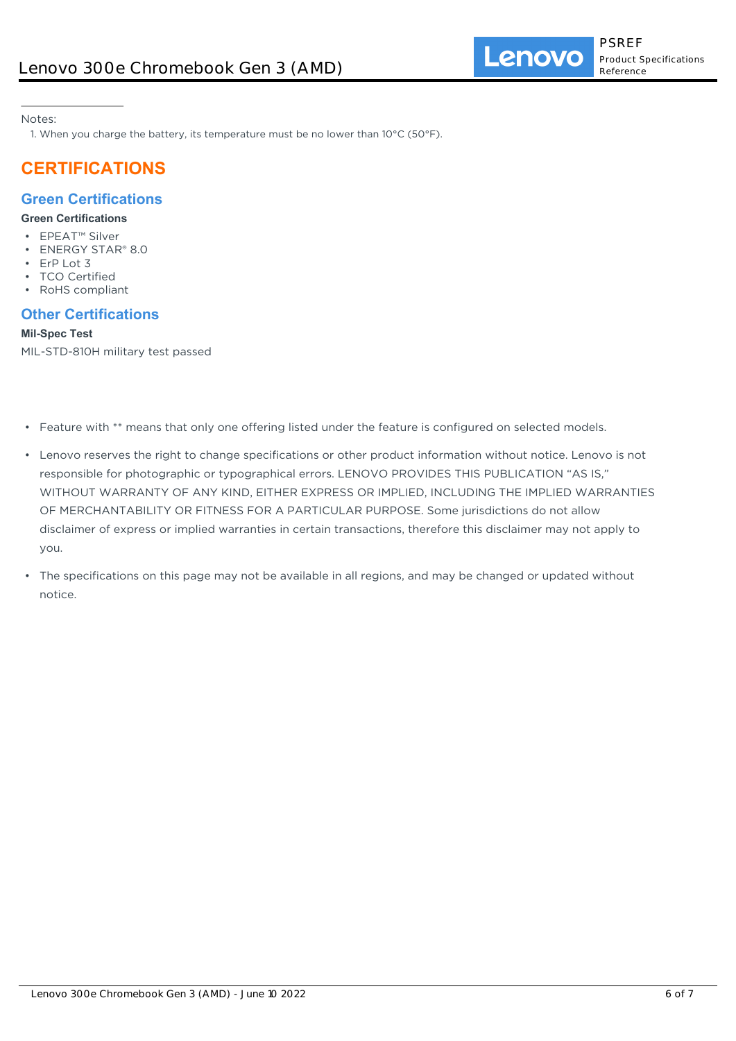Notes:

1. When you charge the battery, its temperature must be no lower than  $10^{\circ}$ C (50°F).

# **CERTIFICATIONS**

# **Green Certifications**

### **Green Certifications**

- EPEAT™ Silver
- ENERGY STAR® 8.0
- ErP Lot 3
- **TCO Certified**
- RoHS compliant

# **Other Certifications**

### **Mil-Spec Test**

MIL-STD-810H military test passed

- Feature with \*\* means that only one offering listed under the feature is configured on selected models.
- Lenovo reserves the right to change specifications or other product information without notice. Lenovo is not responsible for photographic or typographical errors. LENOVO PROVIDES THIS PUBLICATION "AS IS," WITHOUT WARRANTY OF ANY KIND, EITHER EXPRESS OR IMPLIED, INCLUDING THE IMPLIED WARRANTIES OF MERCHANTABILITY OR FITNESS FOR A PARTICULAR PURPOSE. Some jurisdictions do not allow disclaimer of express or implied warranties in certain transactions, therefore this disclaimer may not apply to you.
- The specifications on this page may not be available in all regions, and may be changed or updated without notice.